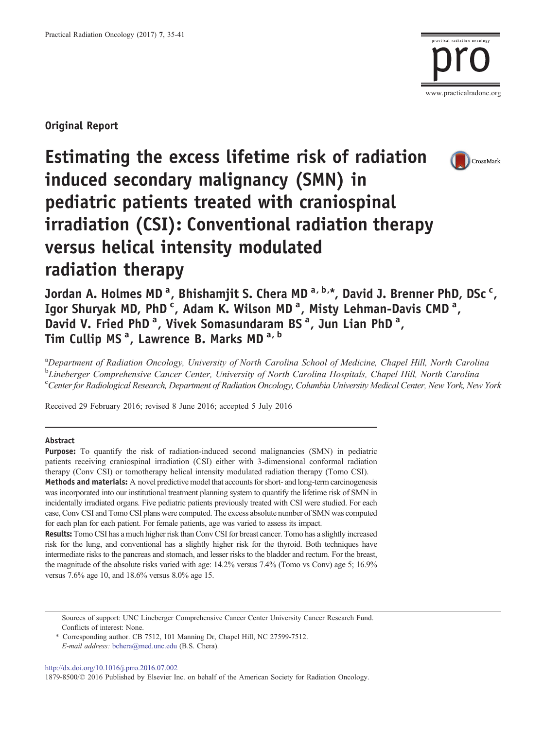www.practicalradonc.org

CrossMark

Original Report

# Estimating the excess lifetime risk of radiation induced secondary malignancy (SMN) in pediatric patients treated with craniospinal irradiation (CSI): Conventional radiation therapy versus helical intensity modulated radiation therapy

Jordan A. Holmes MD <sup>a</sup>, Bhishamjit S. Chera MD <sup>a, b,</sup>\*, David J. Brenner PhD, DSc <sup>c</sup>, Igor Shuryak MD, PhD <sup>c</sup>, Adam K. Wilson MD <sup>a</sup>, Misty Lehman-Davis CMD <sup>a</sup>, David V. Fried PhD<sup>a</sup>, Vivek Somasundaram BS<sup>a</sup>, Jun Lian PhD<sup>a</sup>, Tim Cullip MS <sup>a</sup>, Lawrence B. Marks MD <sup>a, b</sup>

<sup>a</sup>Department of Radiation Oncology, University of North Carolina School of Medicine, Chapel Hill, North Carolina <sup>b</sup>Lineberger Comprehensive Cancer Center, University of North Carolina Hospitals, Chapel Hill, North Carolina <sup>c</sup>Center for Radiological Research, Department of Radiation Oncology, Columbia University Medical Center, New York, New York

Received 29 February 2016; revised 8 June 2016; accepted 5 July 2016

## Abstract

Purpose: To quantify the risk of radiation-induced second malignancies (SMN) in pediatric patients receiving craniospinal irradiation (CSI) either with 3-dimensional conformal radiation therapy (Conv CSI) or tomotherapy helical intensity modulated radiation therapy (Tomo CSI).

Methods and materials: A novel predictive model that accounts for short- and long-term carcinogenesis was incorporated into our institutional treatment planning system to quantify the lifetime risk of SMN in incidentally irradiated organs. Five pediatric patients previously treated with CSI were studied. For each case, Conv CSI and Tomo CSI plans were computed. The excess absolute number of SMN was computed for each plan for each patient. For female patients, age was varied to assess its impact.

Results: Tomo CSI has a much higher risk than Conv CSI for breast cancer. Tomo has a slightly increased risk for the lung, and conventional has a slightly higher risk for the thyroid. Both techniques have intermediate risks to the pancreas and stomach, and lesser risks to the bladder and rectum. For the breast, the magnitude of the absolute risks varied with age: 14.2% versus 7.4% (Tomo vs Conv) age 5; 16.9% versus 7.6% age 10, and 18.6% versus 8.0% age 15.

Sources of support: UNC Lineberger Comprehensive Cancer Center University Cancer Research Fund. Conflicts of interest: None.

⁎ Corresponding author. CB 7512, 101 Manning Dr, Chapel Hill, NC 27599-7512. E-mail address: [bchera@med.unc.edu](mailto:bchera@med.unc.edu) (B.S. Chera).

<http://dx.doi.org/10.1016/j.prro.2016.07.002>

1879-8500/© 2016 Published by Elsevier Inc. on behalf of the American Society for Radiation Oncology.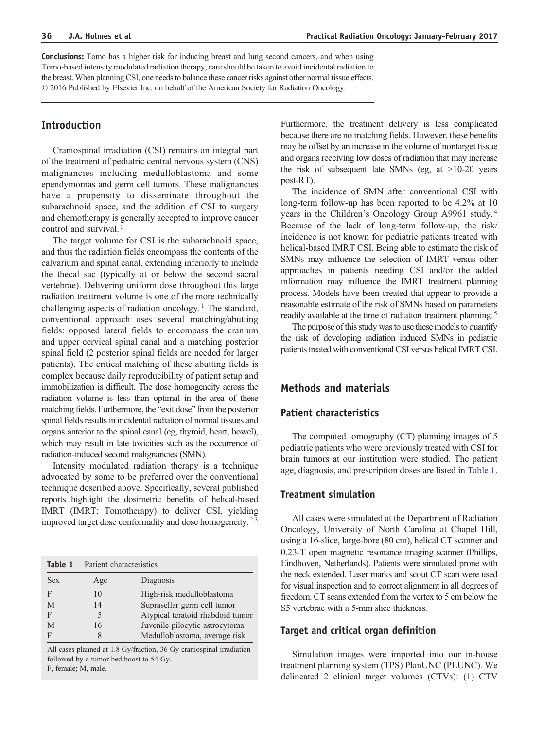Conclusions: Tomo has a higher risk for inducing breast and lung second cancers, and when using Tomo-based intensity modulated radiation therapy, care should be taken to avoid incidental radiation to the breast. When planning CSI, one needs to balance these cancer risks against other normal tissue effects. © 2016 Published by Elsevier Inc. on behalf of the American Society for Radiation Oncology.

## Introduction

Craniospinal irradiation (CSI) remains an integral part of the treatment of pediatric central nervous system (CNS) malignancies including medulloblastoma and some ependymomas and germ cell tumors. These malignancies have a propensity to disseminate throughout the subarachnoid space, and the addition of CSI to surgery and chemotherapy is generally accepted to improve cancer control and survival[.](#page-5-0)<sup>[1](#page-5-0)</sup>

The target volume for CSI is the subarachnoid space, and thus the radiation fields encompass the contents of the calvarium and spinal canal, extending inferiorly to include the thecal sac (typically at or below the second sacral vertebrae). Delivering uniform dose throughout this large radiation treatment volume is one of the more technically challenging aspects of radiation oncology[.](#page-5-0)<sup>[1](#page-5-0)</sup> The standard, conventional approach uses several matching/abutting fields: opposed lateral fields to encompass the cranium and upper cervical spinal canal and a matching posterior spinal field (2 posterior spinal fields are needed for larger patients). The critical matching of these abutting fields is complex because daily reproducibility of patient setup and immobilization is difficult. The dose homogeneity across the radiation volume is less than optimal in the area of these matching fields. Furthermore, the "exit dose" from the posterior spinal fields results in incidental radiation of normal tissues and organs anterior to the spinal canal (eg, thyroid, heart, bowel), which may result in late toxicities such as the occurrence of radiation-induced second malignancies (SMN).

Intensity modulated radiation therapy is a technique advocated by some to be preferred over the conventional technique described above. Specifically, several published reports highlight the dosimetric benefits of helical-based IMRT (IMRT; Tomotherapy) to deliver CSI, yielding improved target dose conformality and dose homogeneity[.](#page-5-0)<sup>[2,3](#page-5-0)</sup>

| Table 1    | Patient characteristics  |                                  |  |  |  |
|------------|--------------------------|----------------------------------|--|--|--|
| <b>Sex</b> | Age                      | Diagnosis                        |  |  |  |
| F          | 10                       | High-risk medulloblastoma        |  |  |  |
| M          | 14                       | Suprasellar germ cell tumor      |  |  |  |
| F          | $\overline{\mathcal{L}}$ | Atypical teratoid rhabdoid tumor |  |  |  |
| M          | 16                       | Juvenile pilocytic astrocytoma   |  |  |  |
| F          |                          | Medulloblastoma, average risk    |  |  |  |

All cases planned at 1.8 Gy/fraction, 36 Gy craniospinal irradiation followed by a tumor bed boost to 54 Gy. F, female; M, male.

Furthermore, the treatment delivery is less complicated because there are no matching fields. However, these benefits may be offset by an increase in the volume of nontarget tissue and organs receiving low doses of radiation that may increase the risk of subsequent late SMNs (eg, at  $>10-20$  years post-RT).

The incidence of SMN after conventional CSI with long-term follow-up has been reported to be 4.2% at 10 years in the Children's Oncology Group A9961 study[.](#page-5-0)[4](#page-5-0) Because of the lack of long-term follow-up, the risk/ incidence is not known for pediatric patients treated with helical-based IMRT CSI. Being able to estimate the risk of SMNs may influence the selection of IMRT versus other approaches in patients needing CSI and/or the added information may influence the IMRT treatment planning process. Models have been created that appear to provide a reasonable estimate of the risk of SMNs based on parameters readily available at the time of radiation treatment planning[.](#page-5-0)<sup>[5](#page-5-0)</sup>

The purpose of this study was to use these models to quantify the risk of developing radiation induced SMNs in pediatric patients treated with conventional CSI versus helical IMRT CSI.

# Methods and materials

## Patient characteristics

The computed tomography (CT) planning images of 5 pediatric patients who were previously treated with CSI for brain tumors at our institution were studied. The patient age, diagnosis, and prescription doses are listed in Table 1.

## Treatment simulation

All cases were simulated at the Department of Radiation Oncology, University of North Carolina at Chapel Hill, using a 16-slice, large-bore (80 cm), helical CT scanner and 0.23-T open magnetic resonance imaging scanner (Phillips, Eindhoven, Netherlands). Patients were simulated prone with the neck extended. Laser marks and scout CT scan were used for visual inspection and to correct alignment in all degrees of freedom. CT scans extended from the vertex to 5 cm below the S5 vertebrae with a 5-mm slice thickness.

#### Target and critical organ definition

Simulation images were imported into our in-house treatment planning system (TPS) PlanUNC (PLUNC). We delineated 2 clinical target volumes (CTVs): (1) CTV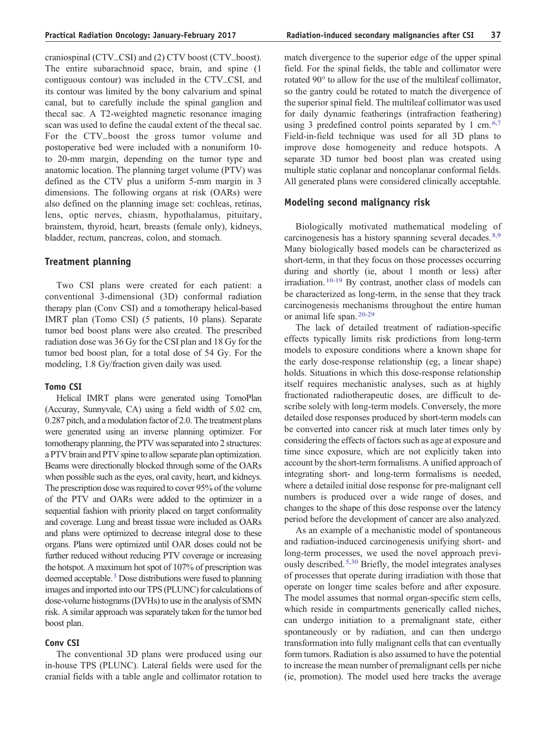craniospinal (CTV\_CSI) and (2) CTV boost (CTV\_boost). The entire subarachnoid space, brain, and spine (1 contiguous contour) was included in the CTV\_CSI, and its contour was limited by the bony calvarium and spinal canal, but to carefully include the spinal ganglion and thecal sac. A T2-weighted magnetic resonance imaging scan was used to define the caudal extent of the thecal sac. For the CTV\_boost the gross tumor volume and postoperative bed were included with a nonuniform 10 to 20-mm margin, depending on the tumor type and anatomic location. The planning target volume (PTV) was defined as the CTV plus a uniform 5-mm margin in 3 dimensions. The following organs at risk (OARs) were also defined on the planning image set: cochleas, retinas, lens, optic nerves, chiasm, hypothalamus, pituitary, brainstem, thyroid, heart, breasts (female only), kidneys, bladder, rectum, pancreas, colon, and stomach.

## Treatment planning

Two CSI plans were created for each patient: a conventional 3-dimensional (3D) conformal radiation therapy plan (Conv CSI) and a tomotherapy helical-based IMRT plan (Tomo CSI) (5 patients, 10 plans). Separate tumor bed boost plans were also created. The prescribed radiation dose was 36 Gy for the CSI plan and 18 Gy for the tumor bed boost plan, for a total dose of 54 Gy. For the modeling, 1.8 Gy/fraction given daily was used.

#### Tomo CSI

Helical IMRT plans were generated using TomoPlan (Accuray, Sunnyvale, CA) using a field width of 5.02 cm, 0.287 pitch, and a modulation factor of 2.0. The treatment plans were generated using an inverse planning optimizer. For tomotherapy planning, the PTV was separated into 2 structures: a PTV brain and PTV spine to allow separate plan optimization. Beams were directionally blocked through some of the OARs when possible such as the eyes, oral cavity, heart, and kidneys. The prescription dose was required to cover 95% of the volume of the PTV and OARs were added to the optimizer in a sequential fashion with priority placed on target conformality and coverage. Lung and breast tissue were included as OARs and plans were optimized to decrease integral dose to these organs. Plans were optimized until OAR doses could not be further reduced without reducing PTV coverage or increasing the hotspot. A maximum hot spot of 107% of prescription was deemed acceptable[.](#page-5-0)<sup>[3](#page-5-0)</sup> Dose distributions were fused to planning images and imported into our TPS (PLUNC) for calculations of dose-volume histograms (DVHs) to use in the analysis of SMN risk. A similar approach was separately taken for the tumor bed boost plan.

#### Conv CSI

The conventional 3D plans were produced using our in-house TPS (PLUNC). Lateral fields were used for the cranial fields with a table angle and collimator rotation to

match divergence to the superior edge of the upper spinal field. For the spinal fields, the table and collimator were rotated 90° to allow for the use of the multileaf collimator, so the gantry could be rotated to match the divergence of the superior spinal field. The multileaf collimator was used for daily dynamic featherings (intrafraction feathering) using 3 predefined control points separated by 1 cm[.](#page-5-0)  $6.7$ Field-in-field technique was used for all 3D plans to improve dose homogeneity and reduce hotspots. A separate 3D tumor bed boost plan was created using multiple static coplanar and noncoplanar conformal fields. All generated plans were considered clinically acceptable.

#### Modeling second malignancy risk

Biologically motivated mathematical modeling of carcinogenesis has a history spanning several decades[.](#page-5-0)<sup>[8,9](#page-5-0)</sup> Many biologically based models can be characterized as short-term, in that they focus on those processes occurring during and shortly (ie, about 1 month or less) after irradiation[.](#page-5-0) [10-19](#page-5-0) By contrast, another class of models can be characterized as long-term, in the sense that they track carcinogenesis mechanisms throughout the entire human or animal life span[.](#page-5-0)[20-29](#page-5-0)

The lack of detailed treatment of radiation-specific effects typically limits risk predictions from long-term models to exposure conditions where a known shape for the early dose-response relationship (eg, a linear shape) holds. Situations in which this dose-response relationship itself requires mechanistic analyses, such as at highly fractionated radiotherapeutic doses, are difficult to describe solely with long-term models. Conversely, the more detailed dose responses produced by short-term models can be converted into cancer risk at much later times only by considering the effects of factors such as age at exposure and time since exposure, which are not explicitly taken into account by the short-term formalisms. A unified approach of integrating short- and long-term formalisms is needed, where a detailed initial dose response for pre-malignant cell numbers is produced over a wide range of doses, and changes to the shape of this dose response over the latency period before the development of cancer are also analyzed.

As an example of a mechanistic model of spontaneous and radiation-induced carcinogenesis unifying short- and long-term processes, we used the novel approach previously described[.](#page-5-0)[5,30](#page-5-0) Briefly, the model integrates analyses of processes that operate during irradiation with those that operate on longer time scales before and after exposure. The model assumes that normal organ-specific stem cells, which reside in compartments generically called niches, can undergo initiation to a premalignant state, either spontaneously or by radiation, and can then undergo transformation into fully malignant cells that can eventually form tumors. Radiation is also assumed to have the potential to increase the mean number of premalignant cells per niche (ie, promotion). The model used here tracks the average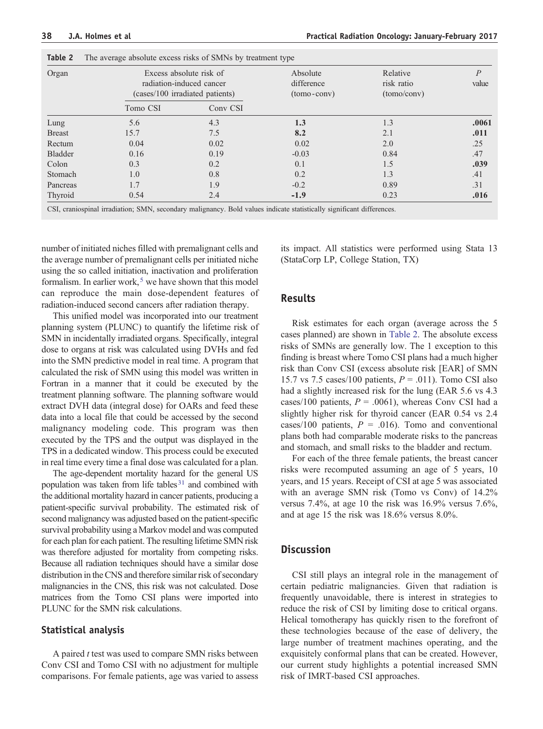| Organ          |          | Excess absolute risk of<br>radiation-induced cancer<br>(cases/100 irradiated patients) |         | Relative<br>risk ratio<br>(tomo/conv) | $\overline{P}$<br>value |
|----------------|----------|----------------------------------------------------------------------------------------|---------|---------------------------------------|-------------------------|
|                | Tomo CSI | Conv CSI                                                                               |         |                                       |                         |
| Lung           | 5.6      | 4.3                                                                                    | 1.3     | 1.3                                   | .0061                   |
| <b>Breast</b>  | 15.7     | 7.5                                                                                    | 8.2     | 2.1                                   | .011                    |
| Rectum         | 0.04     | 0.02                                                                                   | 0.02    | 2.0                                   | .25                     |
| <b>Bladder</b> | 0.16     | 0.19                                                                                   | $-0.03$ | 0.84                                  | .47                     |
| Colon          | 0.3      | 0.2                                                                                    | 0.1     | 1.5                                   | .039                    |
| Stomach        | 1.0      | 0.8                                                                                    | 0.2     | 1.3                                   | .41                     |
| Pancreas       | 1.7      | 1.9                                                                                    | $-0.2$  | 0.89                                  | .31                     |
| Thyroid        | 0.54     | 2.4                                                                                    | $-1.9$  | 0.23                                  | .016                    |

Table 2 The average absolute excess risks of SMNs by treatment

CSI, craniospinal irradiation; SMN, secondary malignancy. Bold values indicate statistically significant differences.

number of initiated niches filled with premalignant cells and the average number of premalignant cells per initiated niche using the so called initiation, inactivation and proliferation formalism. In earlier work[,](#page-5-0)<sup>[5](#page-5-0)</sup> we have shown that this model can reproduce the main dose-dependent features of radiation-induced second cancers after radiation therapy.

This unified model was incorporated into our treatment planning system (PLUNC) to quantify the lifetime risk of SMN in incidentally irradiated organs. Specifically, integral dose to organs at risk was calculated using DVHs and fed into the SMN predictive model in real time. A program that calculated the risk of SMN using this model was written in Fortran in a manner that it could be executed by the treatment planning software. The planning software would extract DVH data (integral dose) for OARs and feed these data into a local file that could be accessed by the second malignancy modeling code. This program was then executed by the TPS and the output was displayed in the TPS in a dedicated window. This process could be executed in real time every time a final dose was calculated for a plan.

The age-dependent mortality hazard for the general US population wa[s](#page-6-0) taken from life tables $31$  and combined with the additional mortality hazard in cancer patients, producing a patient-specific survival probability. The estimated risk of second malignancy was adjusted based on the patient-specific survival probability using a Markov model and was computed for each plan for each patient. The resulting lifetime SMN risk was therefore adjusted for mortality from competing risks. Because all radiation techniques should have a similar dose distribution in the CNS and therefore similar risk of secondary malignancies in the CNS, this risk was not calculated. Dose matrices from the Tomo CSI plans were imported into PLUNC for the SMN risk calculations.

#### Statistical analysis

A paired t test was used to compare SMN risks between Conv CSI and Tomo CSI with no adjustment for multiple comparisons. For female patients, age was varied to assess its impact. All statistics were performed using Stata 13 (StataCorp LP, College Station, TX)

#### Results

Risk estimates for each organ (average across the 5 cases planned) are shown in Table 2. The absolute excess risks of SMNs are generally low. The 1 exception to this finding is breast where Tomo CSI plans had a much higher risk than Conv CSI (excess absolute risk [EAR] of SMN 15.7 vs 7.5 cases/100 patients,  $P = .011$ ). Tomo CSI also had a slightly increased risk for the lung (EAR 5.6 vs 4.3 cases/100 patients,  $P = .0061$ ), whereas Conv CSI had a slightly higher risk for thyroid cancer (EAR 0.54 vs 2.4 cases/100 patients,  $P = .016$ ). Tomo and conventional plans both had comparable moderate risks to the pancreas and stomach, and small risks to the bladder and rectum.

For each of the three female patients, the breast cancer risks were recomputed assuming an age of 5 years, 10 years, and 15 years. Receipt of CSI at age 5 was associated with an average SMN risk (Tomo vs Conv) of 14.2% versus 7.4%, at age 10 the risk was 16.9% versus 7.6%, and at age 15 the risk was 18.6% versus 8.0%.

## **Discussion**

CSI still plays an integral role in the management of certain pediatric malignancies. Given that radiation is frequently unavoidable, there is interest in strategies to reduce the risk of CSI by limiting dose to critical organs. Helical tomotherapy has quickly risen to the forefront of these technologies because of the ease of delivery, the large number of treatment machines operating, and the exquisitely conformal plans that can be created. However, our current study highlights a potential increased SMN risk of IMRT-based CSI approaches.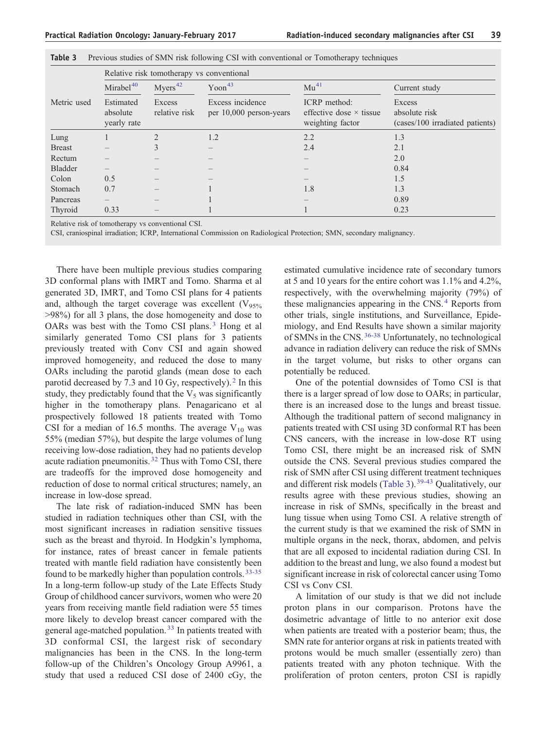|                | Relative risk tomotherapy vs conventional |                         |                                             |                                                                    |                                                            |  |  |
|----------------|-------------------------------------------|-------------------------|---------------------------------------------|--------------------------------------------------------------------|------------------------------------------------------------|--|--|
|                | Mirabel <sup>40</sup>                     | Myers <sup>42</sup>     | $Y$ oon <sup>43</sup>                       | $Mu^{41}$                                                          | Current study                                              |  |  |
| Metric used    | Estimated<br>absolute<br>yearly rate      | Excess<br>relative risk | Excess incidence<br>per 10,000 person-years | ICRP method:<br>effective dose $\times$ tissue<br>weighting factor | Excess<br>absolute risk<br>(cases/100 irradiated patients) |  |  |
| Lung           |                                           | $\overline{2}$          | 1.2                                         | 2.2                                                                | 1.3                                                        |  |  |
| <b>Breast</b>  |                                           | 3                       |                                             | 2.4                                                                | 2.1                                                        |  |  |
| Rectum         |                                           |                         |                                             |                                                                    | 2.0                                                        |  |  |
| <b>Bladder</b> |                                           |                         |                                             |                                                                    | 0.84                                                       |  |  |
| Colon          | 0.5                                       |                         |                                             |                                                                    | 1.5                                                        |  |  |
| Stomach        | 0.7                                       |                         |                                             | 1.8                                                                | 1.3                                                        |  |  |
| Pancreas       |                                           |                         |                                             |                                                                    | 0.89                                                       |  |  |
| Thyroid        | 0.33                                      |                         |                                             |                                                                    | 0.23                                                       |  |  |

**Table 3** Previous studies of SMN risk following CSI with conventional or Tomotherapy techniques

Relative risk of tomotherapy vs conventional CSI.

CSI, craniospinal irradiation; ICRP, International Commission on Radiological Protection; SMN, secondary malignancy.

There have been multiple previous studies comparing 3D conformal plans with IMRT and Tomo. Sharma et al generated 3D, IMRT, and Tomo CSI plans for 4 patients and, although the target coverage was excellent  $(V_{95\%})$  $>98\%$ ) for all 3 plans, the dose homogeneity and dose to OARs was best with the Tomo CSI plans[.](#page-5-0)<sup>[3](#page-5-0)</sup> Hong et al similarly generated Tomo CSI plans for 3 patients previously treated with Conv CSI and again showed improved homogeneity, and reduced the dose to many OARs including the parotid glands (mean dose to each parotid decreased by 7[.](#page-5-0)3 and 10 Gy, respectively).<sup>[2](#page-5-0)</sup> In this study, they predictably found that the  $V<sub>5</sub>$  was significantly higher in the tomotherapy plans. Penagaricano et al prospectively followed 18 patients treated with Tomo CSI for a median of 16.5 months. The average  $V_{10}$  was 55% (median 57%), but despite the large volumes of lung receiving low-dose radiation, they had no patients develop acute radiation pneumonitis[.](#page-6-0)<sup>[32](#page-6-0)</sup> Thus with Tomo CSI, there are tradeoffs for the improved dose homogeneity and reduction of dose to normal critical structures; namely, an increase in low-dose spread.

The late risk of radiation-induced SMN has been studied in radiation techniques other than CSI, with the most significant increases in radiation sensitive tissues such as the breast and thyroid. In Hodgkin's lymphoma, for instance, rates of breast cancer in female patients treated with mantle field radiation have consistently been found to be markedly higher than population controls[.](#page-6-0)<sup>[33-35](#page-6-0)</sup> In a long-term follow-up study of the Late Effects Study Group of childhood cancer survivors, women who were 20 years from receiving mantle field radiation were 55 times more likely to develop breast cancer compared with the general age-matched population[.](#page-6-0)<sup>[33](#page-6-0)</sup> In patients treated with 3D conformal CSI, the largest risk of secondary malignancies has been in the CNS. In the long-term follow-up of the Children's Oncology Group A9961, a study that used a reduced CSI dose of 2400 cGy, the

estimated cumulative incidence rate of secondary tumors at 5 and 10 years for the entire cohort was 1.1% and 4.2%, respectively, with the overwhelming majority (79%) of these malignancies appearing in the CNS[.](#page-5-0) $4$  Reports from other trials, single institutions, and Surveillance, Epidemiology, and End Results have shown a similar majority of SMNs in the CNS[.](#page-6-0)[36-38](#page-6-0) Unfortunately, no technological advance in radiation delivery can reduce the risk of SMNs in the target volume, but risks to other organs can potentially be reduced.

One of the potential downsides of Tomo CSI is that there is a larger spread of low dose to OARs; in particular, there is an increased dose to the lungs and breast tissue. Although the traditional pattern of second malignancy in patients treated with CSI using 3D conformal RT has been CNS cancers, with the increase in low-dose RT using Tomo CSI, there might be an increased risk of SMN outside the CNS. Several previous studies compared the risk of SMN after CSI using different treatment techniques and different risk models (Table 3)[.](#page-6-0)<sup>[39-43](#page-6-0)</sup> Qualitatively, our results agree with these previous studies, showing an increase in risk of SMNs, specifically in the breast and lung tissue when using Tomo CSI. A relative strength of the current study is that we examined the risk of SMN in multiple organs in the neck, thorax, abdomen, and pelvis that are all exposed to incidental radiation during CSI. In addition to the breast and lung, we also found a modest but significant increase in risk of colorectal cancer using Tomo CSI vs Conv CSI.

A limitation of our study is that we did not include proton plans in our comparison. Protons have the dosimetric advantage of little to no anterior exit dose when patients are treated with a posterior beam; thus, the SMN rate for anterior organs at risk in patients treated with protons would be much smaller (essentially zero) than patients treated with any photon technique. With the proliferation of proton centers, proton CSI is rapidly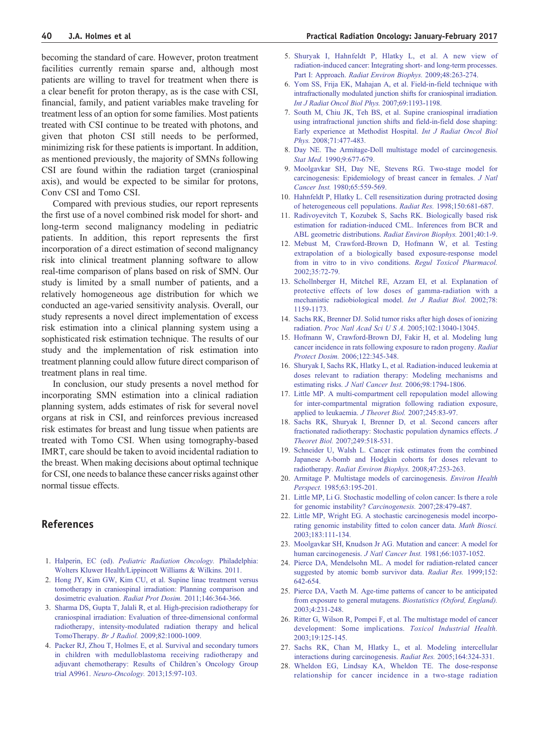<span id="page-5-0"></span>becoming the standard of care. However, proton treatment facilities currently remain sparse and, although most patients are willing to travel for treatment when there is a clear benefit for proton therapy, as is the case with CSI, financial, family, and patient variables make traveling for treatment less of an option for some families. Most patients treated with CSI continue to be treated with photons, and given that photon CSI still needs to be performed, minimizing risk for these patients is important. In addition, as mentioned previously, the majority of SMNs following CSI are found within the radiation target (craniospinal axis), and would be expected to be similar for protons, Conv CSI and Tomo CSI.

Compared with previous studies, our report represents the first use of a novel combined risk model for short- and long-term second malignancy modeling in pediatric patients. In addition, this report represents the first incorporation of a direct estimation of second malignancy risk into clinical treatment planning software to allow real-time comparison of plans based on risk of SMN. Our study is limited by a small number of patients, and a relatively homogeneous age distribution for which we conducted an age-varied sensitivity analysis. Overall, our study represents a novel direct implementation of excess risk estimation into a clinical planning system using a sophisticated risk estimation technique. The results of our study and the implementation of risk estimation into treatment planning could allow future direct comparison of treatment plans in real time.

In conclusion, our study presents a novel method for incorporating SMN estimation into a clinical radiation planning system, adds estimates of risk for several novel organs at risk in CSI, and reinforces previous increased risk estimates for breast and lung tissue when patients are treated with Tomo CSI. When using tomography-based IMRT, care should be taken to avoid incidental radiation to the breast. When making decisions about optimal technique for CSI, one needs to balance these cancer risks against other normal tissue effects.

## References

- 1. [Halperin, EC \(ed\).](http://refhub.elsevier.com/S1879-8500(16)30113-8/rf0005) [Pediatric Radiation Oncology.](http://refhub.elsevier.com/S1879-8500(16)30113-8/rf0005) Philadelphia: [Wolters Kluwer Health/Lippincott Williams & Wilkins. 2011.](http://refhub.elsevier.com/S1879-8500(16)30113-8/rf0005)
- 2. [Hong JY, Kim GW, Kim CU, et al. Supine linac treatment versus](http://refhub.elsevier.com/S1879-8500(16)30113-8/rf0010) [tomotherapy in craniospinal irradiation: Planning comparison and](http://refhub.elsevier.com/S1879-8500(16)30113-8/rf0010) [dosimetric evaluation.](http://refhub.elsevier.com/S1879-8500(16)30113-8/rf0010) [Radiat Prot Dosim.](http://refhub.elsevier.com/S1879-8500(16)30113-8/rf0010) 2011;146:364-366.
- 3. [Sharma DS, Gupta T, Jalali R, et al. High-precision radiotherapy for](http://refhub.elsevier.com/S1879-8500(16)30113-8/rf0015) [craniospinal irradiation: Evaluation of three-dimensional conformal](http://refhub.elsevier.com/S1879-8500(16)30113-8/rf0015) [radiotherapy, intensity-modulated radiation therapy and helical](http://refhub.elsevier.com/S1879-8500(16)30113-8/rf0015) [TomoTherapy.](http://refhub.elsevier.com/S1879-8500(16)30113-8/rf0015) Br J Radiol. [2009;82:1000-1009.](http://refhub.elsevier.com/S1879-8500(16)30113-8/rf0015)
- 4. [Packer RJ, Zhou T, Holmes E, et al. Survival and secondary tumors](http://refhub.elsevier.com/S1879-8500(16)30113-8/rf0020) [in children with medulloblastoma receiving radiotherapy and](http://refhub.elsevier.com/S1879-8500(16)30113-8/rf0020) [adjuvant chemotherapy: Results of Children's Oncology Group](http://refhub.elsevier.com/S1879-8500(16)30113-8/rf0020) [trial A9961.](http://refhub.elsevier.com/S1879-8500(16)30113-8/rf0020) [Neuro-Oncology.](http://refhub.elsevier.com/S1879-8500(16)30113-8/rf0020) 2013;15:97-103.
- 5. [Shuryak I, Hahnfeldt P, Hlatky L, et al. A new view of](http://refhub.elsevier.com/S1879-8500(16)30113-8/rf0025) [radiation-induced cancer: Integrating short- and long-term processes.](http://refhub.elsevier.com/S1879-8500(16)30113-8/rf0025) [Part I: Approach.](http://refhub.elsevier.com/S1879-8500(16)30113-8/rf0025) [Radiat Environ Biophys.](http://refhub.elsevier.com/S1879-8500(16)30113-8/rf0025) 2009;48:263-274.
- 6. [Yom SS, Frija EK, Mahajan A, et al. Field-in-field technique with](http://refhub.elsevier.com/S1879-8500(16)30113-8/rf0030) [intrafractionally modulated junction shifts for craniospinal irradiation.](http://refhub.elsevier.com/S1879-8500(16)30113-8/rf0030) [Int J Radiat Oncol Biol Phys.](http://refhub.elsevier.com/S1879-8500(16)30113-8/rf0030) 2007;69:1193-1198.
- 7. [South M, Chiu JK, Teh BS, et al. Supine craniospinal irradiation](http://refhub.elsevier.com/S1879-8500(16)30113-8/rf0035) [using intrafractional junction shifts and field-in-field dose shaping:](http://refhub.elsevier.com/S1879-8500(16)30113-8/rf0035) [Early experience at Methodist Hospital.](http://refhub.elsevier.com/S1879-8500(16)30113-8/rf0035) [Int J Radiat Oncol Biol](http://refhub.elsevier.com/S1879-8500(16)30113-8/rf0035) Phys. [2008;71:477-483.](http://refhub.elsevier.com/S1879-8500(16)30113-8/rf0035)
- 8. [Day NE. The Armitage-Doll multistage model of carcinogenesis.](http://refhub.elsevier.com/S1879-8500(16)30113-8/rf0040) Stat Med. [1990;9:677-679.](http://refhub.elsevier.com/S1879-8500(16)30113-8/rf0040)
- 9. [Moolgavkar SH, Day NE, Stevens RG. Two-stage model for](http://refhub.elsevier.com/S1879-8500(16)30113-8/rf0045) [carcinogenesis: Epidemiology of breast cancer in females.](http://refhub.elsevier.com/S1879-8500(16)30113-8/rf0045) [J Natl](http://refhub.elsevier.com/S1879-8500(16)30113-8/rf0045) Cancer Inst. [1980;65:559-569.](http://refhub.elsevier.com/S1879-8500(16)30113-8/rf0045)
- 10. [Hahnfeldt P, Hlatky L. Cell resensitization during protracted dosing](http://refhub.elsevier.com/S1879-8500(16)30113-8/rf0050) [of heterogeneous cell populations.](http://refhub.elsevier.com/S1879-8500(16)30113-8/rf0050) Radiat Res. [1998;150:681-687.](http://refhub.elsevier.com/S1879-8500(16)30113-8/rf0050)
- 11. [Radivoyevitch T, Kozubek S, Sachs RK. Biologically based risk](http://refhub.elsevier.com/S1879-8500(16)30113-8/rf0055) [estimation for radiation-induced CML. Inferences from BCR and](http://refhub.elsevier.com/S1879-8500(16)30113-8/rf0055) [ABL geometric distributions.](http://refhub.elsevier.com/S1879-8500(16)30113-8/rf0055) [Radiat Environ Biophys.](http://refhub.elsevier.com/S1879-8500(16)30113-8/rf0055) 2001;40:1-9.
- 12. [Mebust M, Crawford-Brown D, Hofmann W, et al. Testing](http://refhub.elsevier.com/S1879-8500(16)30113-8/rf0060) [extrapolation of a biologically based exposure-response model](http://refhub.elsevier.com/S1879-8500(16)30113-8/rf0060) [from in vitro to in vivo conditions.](http://refhub.elsevier.com/S1879-8500(16)30113-8/rf0060) [Regul Toxicol Pharmacol.](http://refhub.elsevier.com/S1879-8500(16)30113-8/rf0060) [2002;35:72-79.](http://refhub.elsevier.com/S1879-8500(16)30113-8/rf0060)
- 13. [Schollnberger H, Mitchel RE, Azzam EI, et al. Explanation of](http://refhub.elsevier.com/S1879-8500(16)30113-8/rf0065) [protective effects of low doses of gamma-radiation with a](http://refhub.elsevier.com/S1879-8500(16)30113-8/rf0065) [mechanistic radiobiological model.](http://refhub.elsevier.com/S1879-8500(16)30113-8/rf0065) [Int J Radiat Biol.](http://refhub.elsevier.com/S1879-8500(16)30113-8/rf0065) 2002;78: [1159-1173.](http://refhub.elsevier.com/S1879-8500(16)30113-8/rf0065)
- 14. [Sachs RK, Brenner DJ. Solid tumor risks after high doses of ionizing](http://refhub.elsevier.com/S1879-8500(16)30113-8/rf0070) [radiation.](http://refhub.elsevier.com/S1879-8500(16)30113-8/rf0070) [Proc Natl Acad Sci U S A.](http://refhub.elsevier.com/S1879-8500(16)30113-8/rf0070) 2005;102:13040-13045.
- 15. [Hofmann W, Crawford-Brown DJ, Fakir H, et al. Modeling lung](http://refhub.elsevier.com/S1879-8500(16)30113-8/rf0075) [cancer incidence in rats following exposure to radon progeny.](http://refhub.elsevier.com/S1879-8500(16)30113-8/rf0075) [Radiat](http://refhub.elsevier.com/S1879-8500(16)30113-8/rf0075) Protect Dosim. [2006;122:345-348.](http://refhub.elsevier.com/S1879-8500(16)30113-8/rf0075)
- 16. [Shuryak I, Sachs RK, Hlatky L, et al. Radiation-induced leukemia at](http://refhub.elsevier.com/S1879-8500(16)30113-8/rf0080) [doses relevant to radiation therapy: Modeling mechanisms and](http://refhub.elsevier.com/S1879-8500(16)30113-8/rf0080) [estimating risks.](http://refhub.elsevier.com/S1879-8500(16)30113-8/rf0080) J Natl Cancer Inst. [2006;98:1794-1806.](http://refhub.elsevier.com/S1879-8500(16)30113-8/rf0080)
- 17. [Little MP. A multi-compartment cell repopulation model allowing](http://refhub.elsevier.com/S1879-8500(16)30113-8/rf0085) [for inter-compartmental migration following radiation exposure,](http://refhub.elsevier.com/S1879-8500(16)30113-8/rf0085) [applied to leukaemia.](http://refhub.elsevier.com/S1879-8500(16)30113-8/rf0085) J Theoret Biol. [2007;245:83-97.](http://refhub.elsevier.com/S1879-8500(16)30113-8/rf0085)
- 18. [Sachs RK, Shuryak I, Brenner D, et al. Second cancers after](http://refhub.elsevier.com/S1879-8500(16)30113-8/rf0090) [fractionated radiotherapy: Stochastic population dynamics effects.](http://refhub.elsevier.com/S1879-8500(16)30113-8/rf0090) [J](http://refhub.elsevier.com/S1879-8500(16)30113-8/rf0090) Theoret Biol. [2007;249:518-531.](http://refhub.elsevier.com/S1879-8500(16)30113-8/rf0090)
- 19. [Schneider U, Walsh L. Cancer risk estimates from the combined](http://refhub.elsevier.com/S1879-8500(16)30113-8/rf0095) [Japanese A-bomb and Hodgkin cohorts for doses relevant to](http://refhub.elsevier.com/S1879-8500(16)30113-8/rf0095) [radiotherapy.](http://refhub.elsevier.com/S1879-8500(16)30113-8/rf0095) [Radiat Environ Biophys.](http://refhub.elsevier.com/S1879-8500(16)30113-8/rf0095) 2008;47:253-263.
- 20. [Armitage P. Multistage models of carcinogenesis.](http://refhub.elsevier.com/S1879-8500(16)30113-8/rf0100) [Environ Health](http://refhub.elsevier.com/S1879-8500(16)30113-8/rf0100) Perspect. [1985;63:195-201.](http://refhub.elsevier.com/S1879-8500(16)30113-8/rf0100)
- 21. [Little MP, Li G. Stochastic modelling of colon cancer: Is there a role](http://refhub.elsevier.com/S1879-8500(16)30113-8/rf0105) [for genomic instability?](http://refhub.elsevier.com/S1879-8500(16)30113-8/rf0105) Carcinogenesis. [2007;28:479-487.](http://refhub.elsevier.com/S1879-8500(16)30113-8/rf0105)
- 22. [Little MP, Wright EG. A stochastic carcinogenesis model incorpo](http://refhub.elsevier.com/S1879-8500(16)30113-8/rf0110)[rating genomic instability fitted to colon cancer data.](http://refhub.elsevier.com/S1879-8500(16)30113-8/rf0110) [Math Biosci.](http://refhub.elsevier.com/S1879-8500(16)30113-8/rf0110) [2003;183:111-134.](http://refhub.elsevier.com/S1879-8500(16)30113-8/rf0110)
- 23. [Moolgavkar SH, Knudson Jr AG. Mutation and cancer: A model for](http://refhub.elsevier.com/S1879-8500(16)30113-8/rf0115) [human carcinogenesis.](http://refhub.elsevier.com/S1879-8500(16)30113-8/rf0115) J Natl Cancer Inst. [1981;66:1037-1052.](http://refhub.elsevier.com/S1879-8500(16)30113-8/rf0115)
- 24. [Pierce DA, Mendelsohn ML. A model for radiation-related cancer](http://refhub.elsevier.com/S1879-8500(16)30113-8/rf0120) [suggested by atomic bomb survivor data.](http://refhub.elsevier.com/S1879-8500(16)30113-8/rf0120) [Radiat Res.](http://refhub.elsevier.com/S1879-8500(16)30113-8/rf0120) 1999;152: [642-654.](http://refhub.elsevier.com/S1879-8500(16)30113-8/rf0120)
- 25. [Pierce DA, Vaeth M. Age-time patterns of cancer to be anticipated](http://refhub.elsevier.com/S1879-8500(16)30113-8/rf0125) [from exposure to general mutagens.](http://refhub.elsevier.com/S1879-8500(16)30113-8/rf0125) [Biostatistics \(Oxford, England\).](http://refhub.elsevier.com/S1879-8500(16)30113-8/rf0125) [2003;4:231-248.](http://refhub.elsevier.com/S1879-8500(16)30113-8/rf0125)
- 26. [Ritter G, Wilson R, Pompei F, et al. The multistage model of cancer](http://refhub.elsevier.com/S1879-8500(16)30113-8/rf0130) [development: Some implications.](http://refhub.elsevier.com/S1879-8500(16)30113-8/rf0130) [Toxicol Industrial Health.](http://refhub.elsevier.com/S1879-8500(16)30113-8/rf0130) [2003;19:125-145.](http://refhub.elsevier.com/S1879-8500(16)30113-8/rf0130)
- 27. [Sachs RK, Chan M, Hlatky L, et al. Modeling intercellular](http://refhub.elsevier.com/S1879-8500(16)30113-8/rf0135) [interactions during carcinogenesis.](http://refhub.elsevier.com/S1879-8500(16)30113-8/rf0135) Radiat Res. [2005;164:324-331.](http://refhub.elsevier.com/S1879-8500(16)30113-8/rf0135)
- 28. [Wheldon EG, Lindsay KA, Wheldon TE. The dose-response](http://refhub.elsevier.com/S1879-8500(16)30113-8/rf0140) [relationship for cancer incidence in a two-stage radiation](http://refhub.elsevier.com/S1879-8500(16)30113-8/rf0140)